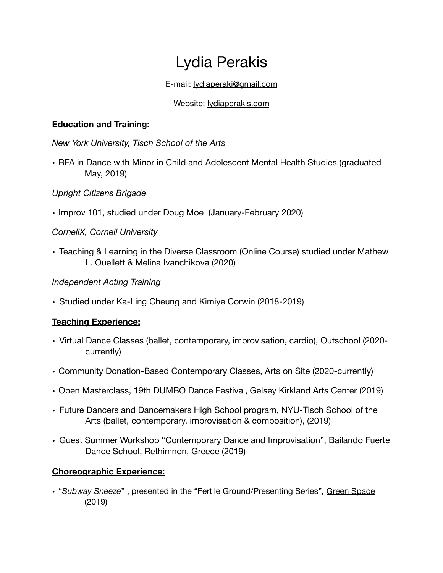# Lydia Perakis

E-mail: [lydiaperaki@gmail.com](mailto:lydiaperaki@gmail.com)

## Website: [lydiaperakis.com](http://lydiaperakis.com)

#### **Education and Training:**

*New York University, Tisch School of the Arts* 

• BFA in Dance with Minor in Child and Adolescent Mental Health Studies (graduated May, 2019)

## *Upright Citizens Brigade*

• Improv 101, studied under Doug Moe (January-February 2020)

## *CornellX, Cornell University*

• Teaching & Learning in the Diverse Classroom (Online Course) studied under Mathew L. Ouellett & Melina Ivanchikova (2020)

#### *Independent Acting Training*

• Studied under Ka-Ling Cheung and Kimiye Corwin (2018-2019)

## **Teaching Experience:**

- Virtual Dance Classes (ballet, contemporary, improvisation, cardio), Outschool (2020 currently)
- Community Donation-Based Contemporary Classes, Arts on Site (2020-currently)
- Open Masterclass, 19th DUMBO Dance Festival, Gelsey Kirkland Arts Center (2019)
- Future Dancers and Dancemakers High School program, NYU-Tisch School of the Arts (ballet, contemporary, improvisation & composition), (2019)
- Guest Summer Workshop "Contemporary Dance and Improvisation", Bailando Fuerte Dance School, Rethimnon, Greece (2019)

## **Choreographic Experience:**

• "*Subway Sneeze*" , presented in the "Fertile Ground/Presenting Series"*,* Green Space (2019)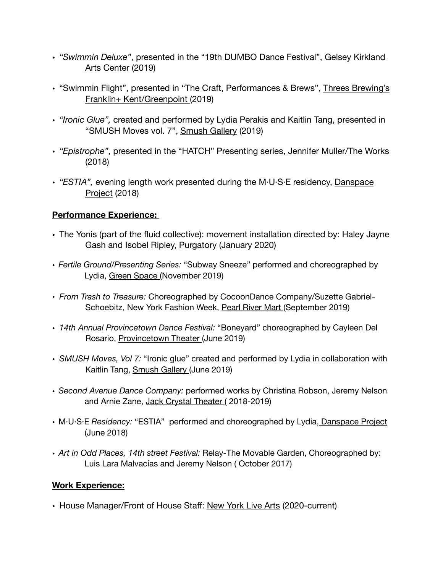- *"Swimmin Deluxe"*, presented in the "19th DUMBO Dance Festival", Gelsey Kirkland Arts Center (2019)
- "Swimmin Flight", presented in "The Craft, Performances & Brews", Threes Brewing's Franklin+ Kent/Greenpoint (2019)
- *"Ironic Glue",* created and performed by Lydia Perakis and Kaitlin Tang, presented in "SMUSH Moves vol. 7", Smush Gallery (2019)
- *"Epistrophe"*, presented in the "HATCH" Presenting series, Jennifer Muller/The Works (2018)
- *"ESTIA",* evening length work presented during the M·U·S·E residency, Danspace Project (2018)

# **Performance Experience:**

- The Yonis (part of the fluid collective): movement installation directed by: Haley Jayne Gash and Isobel Ripley, Purgatory (January 2020)
- *Fertile Ground/Presenting Series:* "Subway Sneeze" performed and choreographed by Lydia, Green Space (November 2019)
- *From Trash to Treasure:* Choreographed by CocoonDance Company/Suzette Gabriel-Schoebitz, New York Fashion Week, Pearl River Mart (September 2019)
- *14th Annual Provincetown Dance Festival:* "Boneyard" choreographed by Cayleen Del Rosario, Provincetown Theater (June 2019)
- *SMUSH Moves, Vol 7:* "Ironic glue" created and performed by Lydia in collaboration with Kaitlin Tang, Smush Gallery (June 2019)
- *Second Avenue Dance Company:* performed works by Christina Robson, Jeremy Nelson and Arnie Zane, Jack Crystal Theater ( 2018-2019)
- M·U·S·E *Residency:* "ESTIA" performed and choreographed by Lydia, Danspace Project (June 2018)
- *Art in Odd Places, 14th street Festival:* Relay-The Movable Garden, Choreographed by: Luis Lara Malvacías and Jeremy Nelson ( October 2017)

# **Work Experience:**

• House Manager/Front of House Staff: New York Live Arts (2020-current)